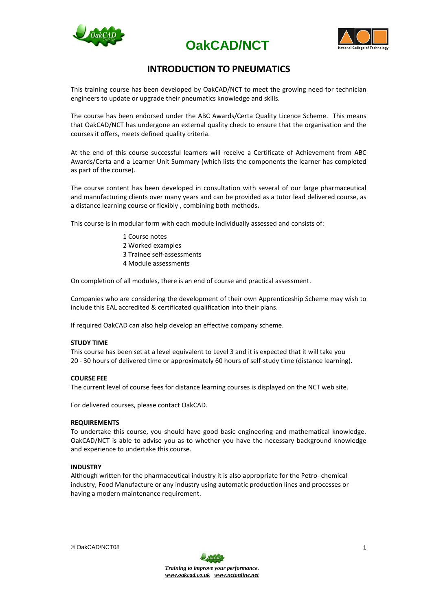





## **INTRODUCTION TO PNEUMATICS**

This training course has been developed by OakCAD/NCT to meet the growing need for technician engineers to update or upgrade their pneumatics knowledge and skills.

The course has been endorsed under the ABC Awards/Certa Quality Licence Scheme. This means that OakCAD/NCT has undergone an external quality check to ensure that the organisation and the courses it offers, meets defined quality criteria.

At the end of this course successful learners will receive a Certificate of Achievement from ABC Awards/Certa and a Learner Unit Summary (which lists the components the learner has completed as part of the course).

The course content has been developed in consultation with several of our large pharmaceutical and manufacturing clients over many years and can be provided as a tutor lead delivered course, as a distance learning course or flexibly , combining both methods**.**

This course is in modular form with each module individually assessed and consists of:

- 1 Course notes
- 2 Worked examples
- 3 Trainee self-assessments
- 4 Module assessments

On completion of all modules, there is an end of course and practical assessment.

Companies who are considering the development of their own Apprenticeship Scheme may wish to include this EAL accredited & certificated qualification into their plans.

If required OakCAD can also help develop an effective company scheme.

#### **STUDY TIME**

This course has been set at a level equivalent to Level 3 and it is expected that it will take you 20 - 30 hours of delivered time or approximately 60 hours of self-study time (distance learning).

#### **COURSE FEE**

The current level of course fees for distance learning courses is displayed on the NCT web site.

For delivered courses, please contact OakCAD.

#### **REQUIREMENTS**

To undertake this course, you should have good basic engineering and mathematical knowledge. OakCAD/NCT is able to advise you as to whether you have the necessary background knowledge and experience to undertake this course.

#### **INDUSTRY**

Although written for the pharmaceutical industry it is also appropriate for the Petro- chemical industry, Food Manufacture or any industry using automatic production lines and processes or having a modern maintenance requirement.

© OakCAD/NCT08